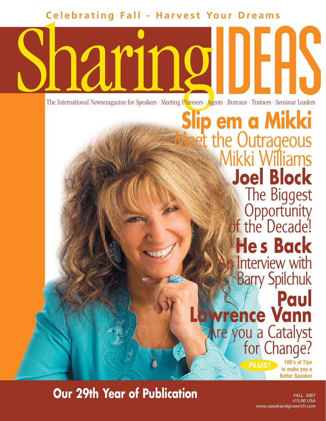**Celebrating Fall - Harvest Your Dreams**

**Sharing Contract of Speakers . Meeting Planners . Age** The International Newsmagazine for Speakers · Meeting Planners · Agents · Bureaus · Trainers · Seminar Leaders

*PLUS!* **100's of Tips Slip em a Mikki** et the Outrageous Mikki Williams **Joel Block** The Biggest **Opportunity** of the Decade! **He s Back** Interview with Barry Spilchuk **Paul Lawrence Vann** Are you a Catalyst for Change?

**to make you a Better Speaker**

# **Our 29th Year of Publication**

FALL 2007 \$15.00 USA www.speakandgrowrich.com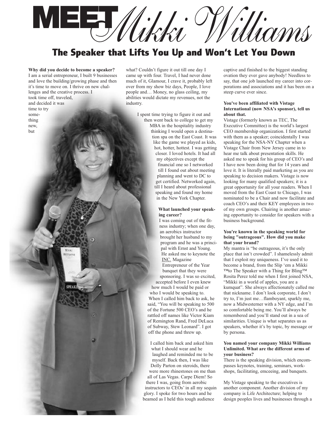**MEET***Mikki Williams*

# **The Speaker that Lifts You Up and Won't Let You Down**

**Why did you decide to become a speaker?** I am a serial entrepreneur, I built 9 businesses and love the building/growing phase and then it's time to move on. I thrive on new challenges and the creative process. I took time off, traveled, and decided it was time to try something new,

but

what? Couldn't figure it out till one day I came up with four. Travel, I had never done much of it, Glamour, I crave it, probably left over from my show biz days, People, I love people and… Money, no glass ceiling, my abilities would dictate my revenues, not the industry.

> I spent time trying to figure it out and then went back to college to get my MBA in the hospitality industry thinking I would open a destination spa on the East Coast. It was like the game we played as kids, hot, hotter, hottest. I was getting closer. I loved hotels. It had all my objectives except the financial one so I networked till I found out about meeting planning and went to DC to get certified. Networked again, till I heard about professional speaking and found my home in the New York Chapter.

### **What launched your speaking career?**

I was coming out of the fitness industry; when one day, an aerobics instructor brought her husband to my program and he was a principal with Ernst and Young. He asked me to keynote the INC. Magazine Entrepreneur of the Year

banquet that they were sponsoring. I was so excited,

accepted before I even knew how much I would be paid or who I would be speaking to. When I called him back to ask, he said, "You will be speaking to 500 of the Fortune 500 CEO's and he rattled off names like Victor Kiam of Remington Rand, Fred DeLuca of Subway, Stew Leonard". I got off the phone and threw up.

I called him back and asked him what I should wear and he laughed and reminded me to be myself. Back then, I was like

Dolly Parton on steroids, there were more rhinestones on me than all of Las Vegas. Carpe Diem! So there I was, going from aerobic instructors to CEOs' in all my sequin glory. I spoke for two hours and he beamed as I held this tough audience

captive and finished to the biggest standing ovation they ever gave anybody! Needless to say, that one job launched my career into corporations and associations and it has been on a steep curve ever since.

# **You've been affiliated with Vistage International (now NSA's sponsor), tell us about that.**

Vistage (formerly known as TEC, The Executive Committee) is the world's largest CEO membership organization. I first started with them as a speaker; coincidentally I was speaking for the NSA-NY Chapter when a Vistage Chair from New Jersey came in to hear me talk about presentation skills. He asked me to speak for his group of CEO's and I have now been doing that for 14 years and love it. It is literally paid marketing as you are speaking to decision makers. Vistage is now looking for many qualified speakers; it is a great opportunity for all your readers. When I moved from the East Coast to Chicago, I was nominated to be a Chair and now facilitate and coach CEO's and their KEY employees in two of my own groups. Chairing is another amazing opportunity to consider for speakers with a business background.

# **You're known in the speaking world for being "outrageous". How did you make that your brand?**

My mantra is "be outrageous, it's the only place that isn't crowded". I shamelessly admit that I exploit my uniqueness. I've used it to become a brand, from the Slip 'em a Mikki ™to The Speaker with a Thing for Bling™ Rosita Perez told me when I first joined NSA, "Mikki in a world of apples, you are a kumquat". She always affectionately called me that nickname. I don't look corporate, I don't try to, I'm just me…flamboyant, sparkly me, now a Midwesterner with a NY edge, and I'm so comfortable being me. You'll always be remembered and you'll stand out in a sea of similarities. Unique is what separates us as speakers, whether it's by topic, by message or by persona.

# **You named your company Mikki Williams Unlimited. What are the different arms of your business?**

There is the speaking division, which encompasses keynotes, training, seminars, workshops, facilitating, emceeing, and banquets.

My Vistage speaking to the executives is another component. Another division of my company is Life Architecture; helping to design peoples lives and businesses through a